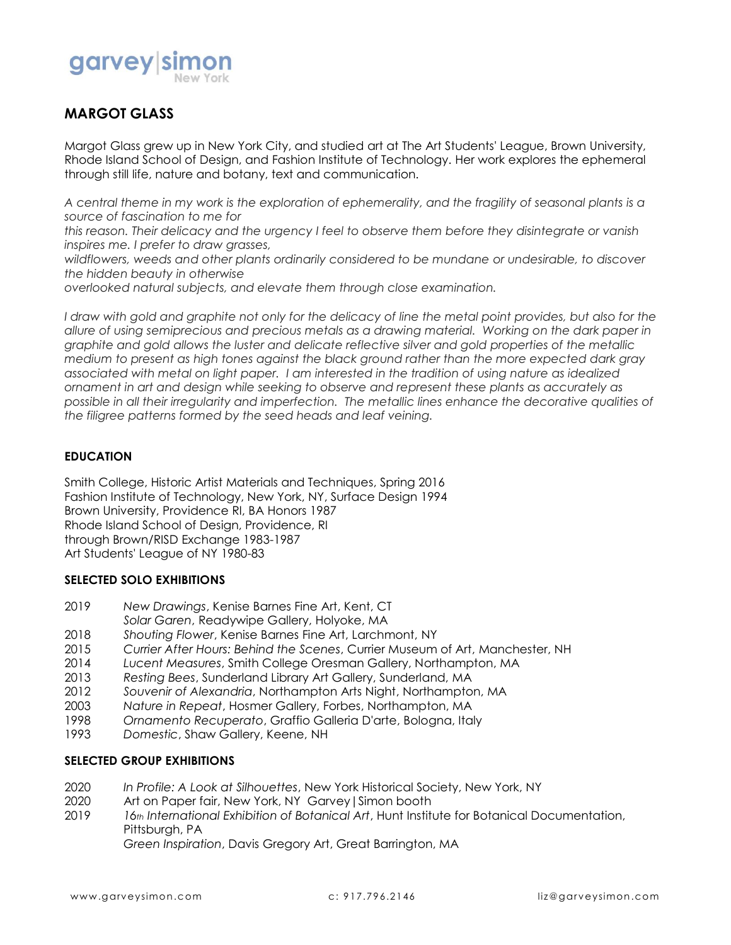

# **MARGOT GLASS**

Margot Glass grew up in New York City, and studied art at The Art Students' League, Brown University, Rhode Island School of Design, and Fashion Institute of Technology. Her work explores the ephemeral through still life, nature and botany, text and communication.

*A central theme in my work is the exploration of ephemerality, and the fragility of seasonal plants is a source of fascination to me for*

*this reason. Their delicacy and the urgency I feel to observe them before they disintegrate or vanish inspires me. I prefer to draw grasses,*

*wildflowers, weeds and other plants ordinarily considered to be mundane or undesirable, to discover the hidden beauty in otherwise*

*overlooked natural subjects, and elevate them through close examination.*

I draw with gold and graphite not only for the delicacy of line the metal point provides, but also for the *allure of using semiprecious and precious metals as a drawing material. Working on the dark paper in graphite and gold allows the luster and delicate reflective silver and gold properties of the metallic medium to present as high tones against the black ground rather than the more expected dark gray associated with metal on light paper. I am interested in the tradition of using nature as idealized ornament in art and design while seeking to observe and represent these plants as accurately as possible in all their irregularity and imperfection. The metallic lines enhance the decorative qualities of the filigree patterns formed by the seed heads and leaf veining.*

### **EDUCATION**

Smith College, Historic Artist Materials and Techniques, Spring 2016 Fashion Institute of Technology, New York, NY, Surface Design 1994 Brown University, Providence RI, BA Honors 1987 Rhode Island School of Design, Providence, RI through Brown/RISD Exchange 1983-1987 Art Students' League of NY 1980-83

### **SELECTED SOLO EXHIBITIONS**

- 2019 *New Drawings*, Kenise Barnes Fine Art, Kent, CT *Solar Garen*, Readywipe Gallery, Holyoke, MA
- 2018 *Shouting Flower*, Kenise Barnes Fine Art, Larchmont, NY
- 2015 *Currier After Hours: Behind the Scenes*, Currier Museum of Art, Manchester, NH
- 2014 *Lucent Measures*, Smith College Oresman Gallery, Northampton, MA
- 2013 *Resting Bees*, Sunderland Library Art Gallery, Sunderland, MA
- 2012 *Souvenir of Alexandria*, Northampton Arts Night, Northampton, MA
- 
- 2003 *Nature in Repeat*, Hosmer Gallery, Forbes, Northampton, MA
- 1998 *Ornamento Recuperato*, Graffio Galleria D'arte, Bologna, Italy
- 1993 *Domestic*, Shaw Gallery, Keene, NH

### **SELECTED GROUP EXHIBITIONS**

- 2020 *In Profile: A Look at Silhouettes*, New York Historical Society, New York, NY
- 2020 Art on Paper fair, New York, NY Garvey|Simon booth
- 2019 *16th International Exhibition of Botanical Art*, Hunt Institute for Botanical Documentation, Pittsburgh, PA

*Green Inspiration*, Davis Gregory Art, Great Barrington, MA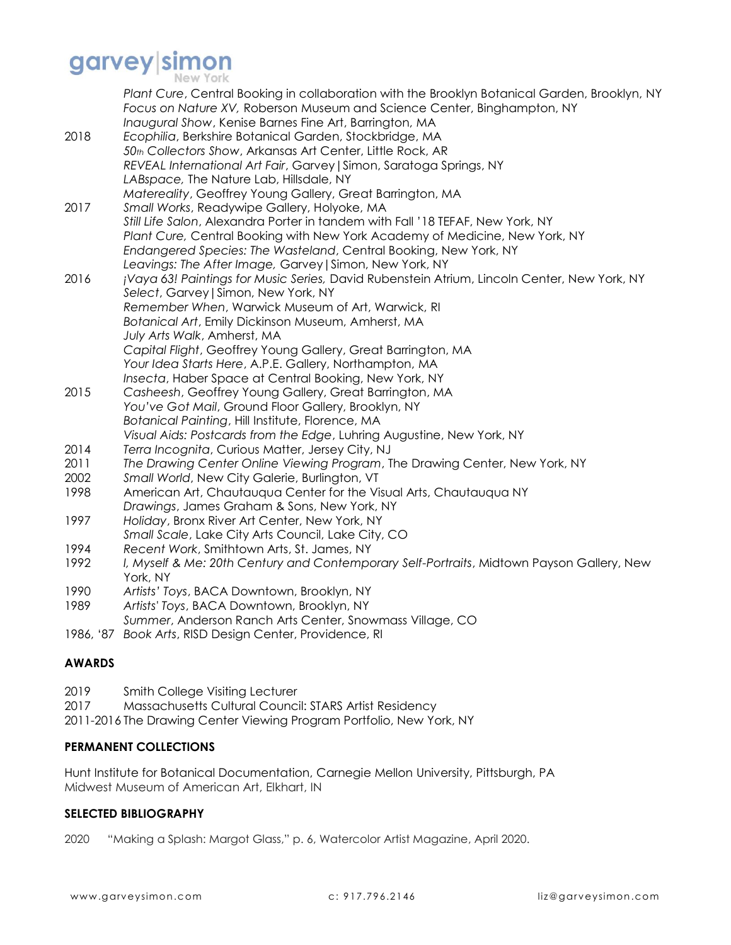# garvey simon

| Plant Cure, Central Booking in collaboration with the Brooklyn Botanical Garden, Brooklyn, NY<br>Focus on Nature XV, Roberson Museum and Science Center, Binghampton, NY<br>Inaugural Show, Kenise Barnes Fine Art, Barrington, MA<br>Ecophilia, Berkshire Botanical Garden, Stockbridge, MA<br>50th Collectors Show, Arkansas Art Center, Little Rock, AR<br>REVEAL International Art Fair, Garvey   Simon, Saratoga Springs, NY<br>LABspace, The Nature Lab, Hillsdale, NY |
|------------------------------------------------------------------------------------------------------------------------------------------------------------------------------------------------------------------------------------------------------------------------------------------------------------------------------------------------------------------------------------------------------------------------------------------------------------------------------|
| Matereality, Geoffrey Young Gallery, Great Barrington, MA<br>Small Works, Readywipe Gallery, Holyoke, MA<br>Still Life Salon, Alexandra Porter in tandem with Fall '18 TEFAF, New York, NY<br>Plant Cure, Central Booking with New York Academy of Medicine, New York, NY<br>Endangered Species: The Wasteland, Central Booking, New York, NY                                                                                                                                |
| Leavings: The After Image, Garvey   Simon, New York, NY<br>¡Vaya 63! Paintings for Music Series, David Rubenstein Atrium, Lincoln Center, New York, NY<br>Select, Garvey   Simon, New York, NY<br>Remember When, Warwick Museum of Art, Warwick, RI<br>Botanical Art, Emily Dickinson Museum, Amherst, MA<br>July Arts Walk, Amherst, MA<br>Capital Flight, Geoffrey Young Gallery, Great Barrington, MA                                                                     |
| Your Idea Starts Here, A.P.E. Gallery, Northampton, MA<br>Insecta, Haber Space at Central Booking, New York, NY<br>Casheesh, Geoffrey Young Gallery, Great Barrington, MA<br>You've Got Mail, Ground Floor Gallery, Brooklyn, NY<br>Botanical Painting, Hill Institute, Florence, MA                                                                                                                                                                                         |
| Visual Aids: Postcards from the Edge, Luhring Augustine, New York, NY<br>Terra Incognita, Curious Matter, Jersey City, NJ<br>The Drawing Center Online Viewing Program, The Drawing Center, New York, NY<br>Small World, New City Galerie, Burlington, VT                                                                                                                                                                                                                    |
| American Art, Chautauqua Center for the Visual Arts, Chautauqua NY<br>Drawings, James Graham & Sons, New York, NY<br>Holiday, Bronx River Art Center, New York, NY<br>Small Scale, Lake City Arts Council, Lake City, CO                                                                                                                                                                                                                                                     |
| Recent Work, Smithtown Arts, St. James, NY<br>I, Myself & Me: 20th Century and Contemporary Self-Portraits, Midtown Payson Gallery, New<br>York, NY                                                                                                                                                                                                                                                                                                                          |
| Artists' Toys, BACA Downtown, Brooklyn, NY<br>Artists' Toys, BACA Downtown, Brooklyn, NY<br>Summer, Anderson Ranch Arts Center, Snowmass Village, CO<br>1986, '87 Book Arts, RISD Design Center, Providence, RI                                                                                                                                                                                                                                                              |
|                                                                                                                                                                                                                                                                                                                                                                                                                                                                              |

## **AWARDS**

- 2019 Smith College Visiting Lecturer
- 2017 Massachusetts Cultural Council: STARS Artist Residency
- 2011-2016 The Drawing Center Viewing Program Portfolio, New York, NY

### **PERMANENT COLLECTIONS**

Hunt Institute for Botanical Documentation, Carnegie Mellon University, Pittsburgh, PA Midwest Museum of American Art, Elkhart, IN

### **SELECTED BIBLIOGRAPHY**

2020 "Making a Splash: Margot Glass," p. 6, Watercolor Artist Magazine, April 2020.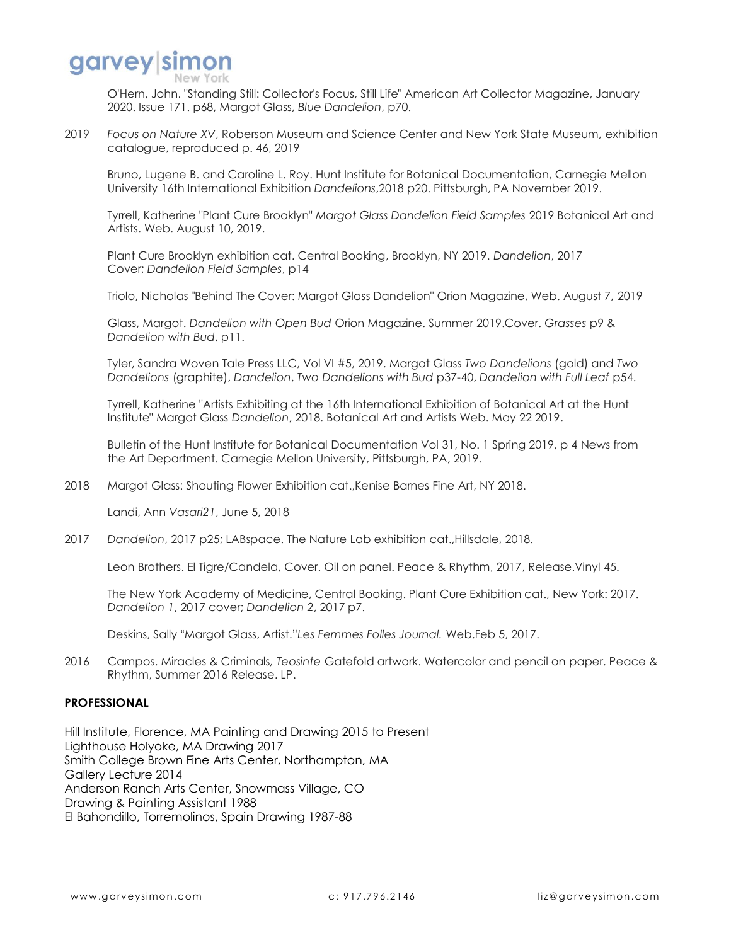

O'Hern, John. "Standing Still: Collector's Focus, Still Life" American Art Collector Magazine, January 2020. Issue 171. p68, Margot Glass, *Blue Dandelion*, p70.

2019 *Focus on Nature XV*, Roberson Museum and Science Center and New York State Museum, exhibition catalogue, reproduced p. 46, 2019

Bruno, Lugene B. and Caroline L. Roy. Hunt Institute for Botanical Documentation, Carnegie Mellon University 16th International Exhibition *Dandelions*,2018 p20. Pittsburgh, PA November 2019.

Tyrrell, Katherine "Plant Cure Brooklyn" *Margot Glass Dandelion Field Samples* 2019 Botanical Art and Artists. Web. August 10, 2019.

Plant Cure Brooklyn exhibition cat. Central Booking, Brooklyn, NY 2019. *Dandelion*, 2017 Cover; *Dandelion Field Samples*, p14

Triolo, Nicholas "Behind The Cover: Margot Glass Dandelion" Orion Magazine, Web. August 7, 2019

Glass, Margot. *Dandelion with Open Bud* Orion Magazine. Summer 2019.Cover. *Grasses* p9 & *Dandelion with Bud*, p11.

Tyler, Sandra Woven Tale Press LLC, Vol VI #5, 2019. Margot Glass *Two Dandelions* (gold) and *Two Dandelions* (graphite), *Dandelion*, *Two Dandelions with Bud* p37-40, *Dandelion with Full Leaf* p54.

Tyrrell, Katherine "Artists Exhibiting at the 16th International Exhibition of Botanical Art at the Hunt Institute" Margot Glass *Dandelion*, 2018. Botanical Art and Artists Web. May 22 2019.

Bulletin of the Hunt Institute for Botanical Documentation Vol 31, No. 1 Spring 2019, p 4 News from the Art Department. Carnegie Mellon University, Pittsburgh, PA, 2019.

2018 Margot Glass: Shouting Flower Exhibition cat.,Kenise Barnes Fine Art, NY 2018.

Landi, Ann *Vasari21*, June 5, 2018

2017 *Dandelion*, 2017 p25; LABspace. The Nature Lab exhibition cat.,Hillsdale, 2018.

Leon Brothers. El Tigre/Candela, Cover. Oil on panel. Peace & Rhythm, 2017, Release.Vinyl 45.

The New York Academy of Medicine, Central Booking. Plant Cure Exhibition cat., New York: 2017. *Dandelion 1*, 2017 cover; *Dandelion 2*, 2017 p7.

Deskins, Sally "Margot Glass, Artist."*Les Femmes Folles Journal.* Web.Feb 5, 2017.

2016 Campos. Miracles & Criminals*, Teosinte* Gatefold artwork. Watercolor and pencil on paper. Peace & Rhythm, Summer 2016 Release. LP.

### **PROFESSIONAL**

Hill Institute, Florence, MA Painting and Drawing 2015 to Present Lighthouse Holyoke, MA Drawing 2017 Smith College Brown Fine Arts Center, Northampton, MA Gallery Lecture 2014 Anderson Ranch Arts Center, Snowmass Village, CO Drawing & Painting Assistant 1988 El Bahondillo, Torremolinos, Spain Drawing 1987-88